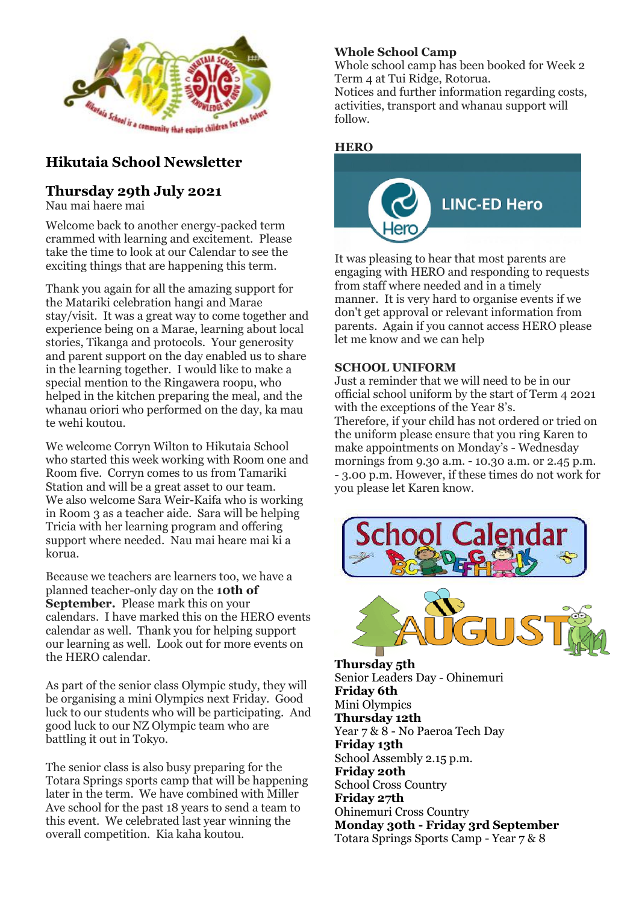

# **Hikutaia School Newsletter**

## **Thursday 29th July 2021**

Nau mai haere mai

Welcome back to another energy-packed term crammed with learning and excitement. Please take the time to look at our Calendar to see the exciting things that are happening this term.

Thank you again for all the amazing support for the Matariki celebration hangi and Marae stay/visit. It was a great way to come together and experience being on a Marae, learning about local stories, Tikanga and protocols. Your generosity and parent support on the day enabled us to share in the learning together. I would like to make a special mention to the Ringawera roopu, who helped in the kitchen preparing the meal, and the whanau oriori who performed on the day, ka mau te wehi koutou.

We welcome Corryn Wilton to Hikutaia School who started this week working with Room one and Room five. Corryn comes to us from Tamariki Station and will be a great asset to our team. We also welcome Sara Weir-Kaifa who is working in Room 3 as a teacher aide. Sara will be helping Tricia with her learning program and offering support where needed. Nau mai heare mai ki a korua.

Because we teachers are learners too, we have a planned teacher-only day on the **10th of September.** Please mark this on your calendars. I have marked this on the HERO events calendar as well. Thank you for helping support our learning as well. Look out for more events on the HERO calendar.

As part of the senior class Olympic study, they will be organising a mini Olympics next Friday. Good luck to our students who will be participating. And good luck to our NZ Olympic team who are battling it out in Tokyo.

The senior class is also busy preparing for the Totara Springs sports camp that will be happening later in the term. We have combined with Miller Ave school for the past 18 years to send a team to this event. We celebrated last year winning the overall competition. Kia kaha koutou.

## **Whole School Camp**

Whole school camp has been booked for Week 2 Term 4 at Tui Ridge, Rotorua.

Notices and further information regarding costs, activities, transport and whanau support will follow.

#### **HERO**



It was pleasing to hear that most parents are engaging with HERO and responding to requests from staff where needed and in a timely manner. It is very hard to organise events if we don't get approval or relevant information from parents. Again if you cannot access HERO please let me know and we can help

#### **SCHOOL UNIFORM**

Just a reminder that we will need to be in our official school uniform by the start of Term 4 2021 with the exceptions of the Year 8's. Therefore, if your child has not ordered or tried on the uniform please ensure that you ring Karen to make appointments on Monday's - Wednesday mornings from 9.30 a.m. - 10.30 a.m. or 2.45 p.m. - 3.00 p.m. However, if these times do not work for you please let Karen know.





**Thursday 5th** Senior Leaders Day - Ohinemuri **Friday 6th** Mini Olympics **Thursday 12th** Year 7 & 8 - No Paeroa Tech Day **Friday 13th** School Assembly 2.15 p.m. **Friday 20th** School Cross Country **Friday 27th** Ohinemuri Cross Country **Monday 30th - Friday 3rd September** Totara Springs Sports Camp - Year 7 & 8